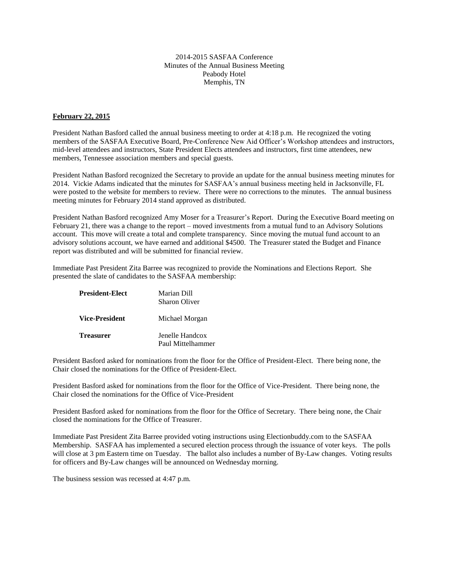## 2014-2015 SASFAA Conference Minutes of the Annual Business Meeting Peabody Hotel Memphis, TN

## **February 22, 2015**

President Nathan Basford called the annual business meeting to order at 4:18 p.m. He recognized the voting members of the SASFAA Executive Board, Pre-Conference New Aid Officer's Workshop attendees and instructors, mid-level attendees and instructors, State President Elects attendees and instructors, first time attendees, new members, Tennessee association members and special guests.

President Nathan Basford recognized the Secretary to provide an update for the annual business meeting minutes for 2014. Vickie Adams indicated that the minutes for SASFAA's annual business meeting held in Jacksonville, FL were posted to the website for members to review. There were no corrections to the minutes. The annual business meeting minutes for February 2014 stand approved as distributed.

President Nathan Basford recognized Amy Moser for a Treasurer's Report. During the Executive Board meeting on February 21, there was a change to the report – moved investments from a mutual fund to an Advisory Solutions account. This move will create a total and complete transparency. Since moving the mutual fund account to an advisory solutions account, we have earned and additional \$4500. The Treasurer stated the Budget and Finance report was distributed and will be submitted for financial review.

Immediate Past President Zita Barree was recognized to provide the Nominations and Elections Report. She presented the slate of candidates to the SASFAA membership:

| <b>President-Elect</b> | Marian Dill<br><b>Sharon Oliver</b>  |
|------------------------|--------------------------------------|
| <b>Vice-President</b>  | Michael Morgan                       |
| <b>Treasurer</b>       | Jenelle Handcox<br>Paul Mittelhammer |

President Basford asked for nominations from the floor for the Office of President-Elect. There being none, the Chair closed the nominations for the Office of President-Elect.

President Basford asked for nominations from the floor for the Office of Vice-President. There being none, the Chair closed the nominations for the Office of Vice-President

President Basford asked for nominations from the floor for the Office of Secretary. There being none, the Chair closed the nominations for the Office of Treasurer.

Immediate Past President Zita Barree provided voting instructions using Electionbuddy.com to the SASFAA Membership. SASFAA has implemented a secured election process through the issuance of voter keys. The polls will close at 3 pm Eastern time on Tuesday. The ballot also includes a number of By-Law changes. Voting results for officers and By-Law changes will be announced on Wednesday morning.

The business session was recessed at 4:47 p.m.